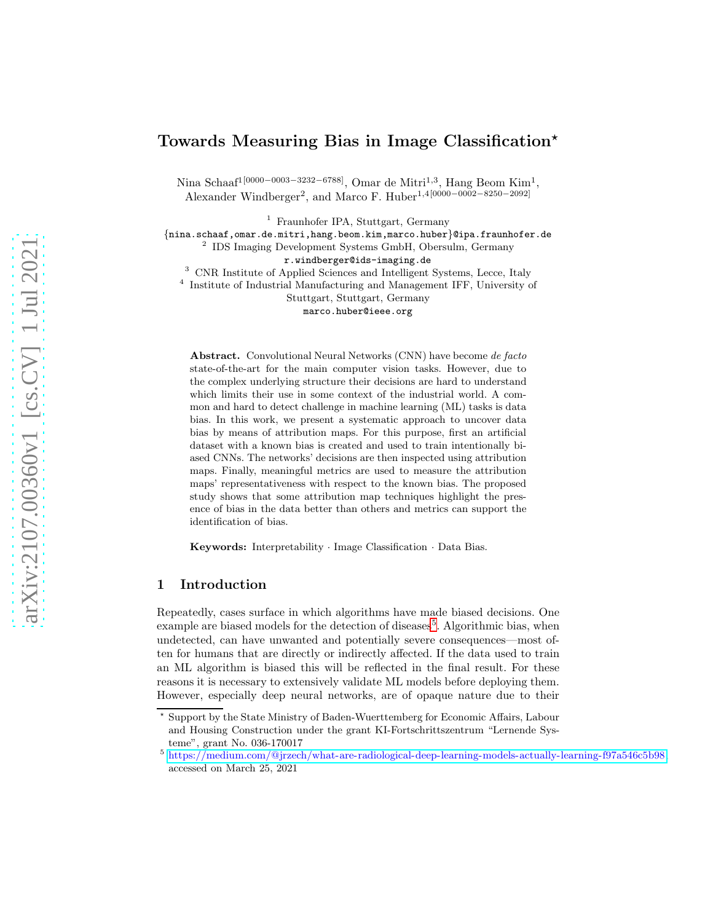# Towards Measuring Bias in Image Classification<sup>\*</sup>

Nina Schaaf<sup>1[0000–0003–3232–6788]</sup>, Omar de Mitri<sup>1,3</sup>, Hang Beom Kim<sup>1</sup>, Alexander Windberger<sup>2</sup>, and Marco F. Huber<sup>1,4[0000–0002–8250–2092]</sup>

<sup>1</sup> Fraunhofer IPA, Stuttgart, Germany

{nina.schaaf,omar.de.mitri,hang.beom.kim,marco.huber}@ipa.fraunhofer.de

2 IDS Imaging Development Systems GmbH, Obersulm, Germany

r.windberger@ids-imaging.de

<sup>3</sup> CNR Institute of Applied Sciences and Intelligent Systems, Lecce, Italy

4 Institute of Industrial Manufacturing and Management IFF, University of

Stuttgart, Stuttgart, Germany

marco.huber@ieee.org

Abstract. Convolutional Neural Networks (CNN) have become de facto state-of-the-art for the main computer vision tasks. However, due to the complex underlying structure their decisions are hard to understand which limits their use in some context of the industrial world. A common and hard to detect challenge in machine learning (ML) tasks is data bias. In this work, we present a systematic approach to uncover data bias by means of attribution maps. For this purpose, first an artificial dataset with a known bias is created and used to train intentionally biased CNNs. The networks' decisions are then inspected using attribution maps. Finally, meaningful metrics are used to measure the attribution maps' representativeness with respect to the known bias. The proposed study shows that some attribution map techniques highlight the presence of bias in the data better than others and metrics can support the identification of bias.

Keywords: Interpretability · Image Classification · Data Bias.

# 1 Introduction

Repeatedly, cases surface in which algorithms have made biased decisions. One example are biased models for the detection of diseases<sup>[5](#page-0-0)</sup>. Algorithmic bias, when undetected, can have unwanted and potentially severe consequences—most often for humans that are directly or indirectly affected. If the data used to train an ML algorithm is biased this will be reflected in the final result. For these reasons it is necessary to extensively validate ML models before deploying them. However, especially deep neural networks, are of opaque nature due to their

<sup>⋆</sup> Support by the State Ministry of Baden-Wuerttemberg for Economic Affairs, Labour and Housing Construction under the grant KI-Fortschrittszentrum "Lernende Systeme", grant No. 036-170017

<span id="page-0-0"></span><sup>5</sup> [https://medium.com/@jrzech/what-are-radiological-deep-learning-models-actually-learning-f97a546c5b98,](https://medium.com/@jrzech/what-are-radiological-deep-learning-models-actually-learning-f97a546c5b98) accessed on March 25, 2021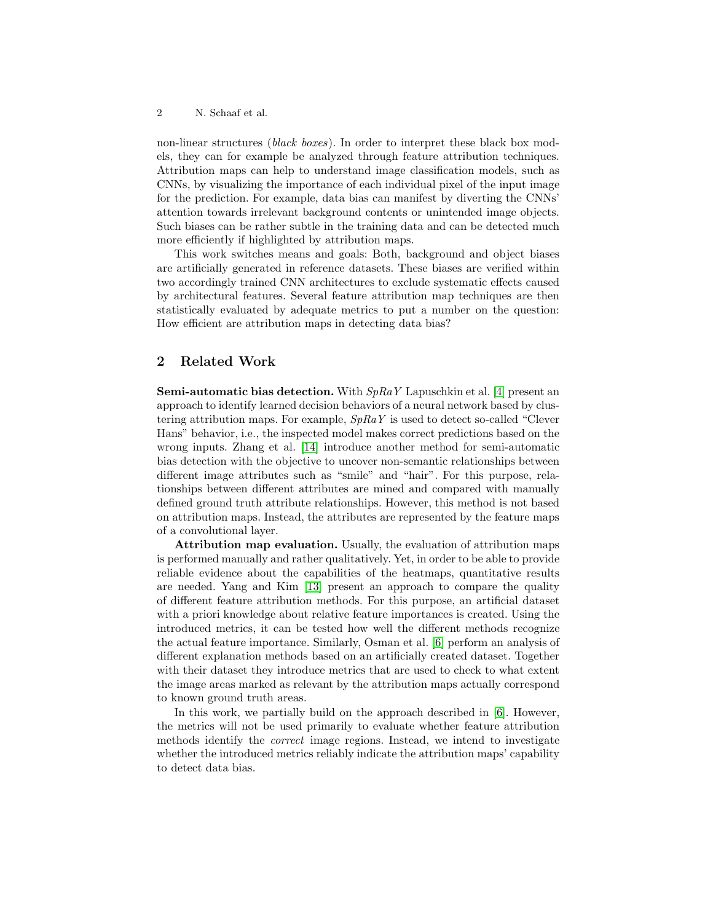non-linear structures *(black boxes)*. In order to interpret these black box models, they can for example be analyzed through feature attribution techniques. Attribution maps can help to understand image classification models, such as CNNs, by visualizing the importance of each individual pixel of the input image for the prediction. For example, data bias can manifest by diverting the CNNs' attention towards irrelevant background contents or unintended image objects. Such biases can be rather subtle in the training data and can be detected much more efficiently if highlighted by attribution maps.

This work switches means and goals: Both, background and object biases are artificially generated in reference datasets. These biases are verified within two accordingly trained CNN architectures to exclude systematic effects caused by architectural features. Several feature attribution map techniques are then statistically evaluated by adequate metrics to put a number on the question: How efficient are attribution maps in detecting data bias?

# 2 Related Work

**Semi-automatic bias detection.** With  $SpRaY$  Lapuschkin et al. [\[4\]](#page-11-0) present an approach to identify learned decision behaviors of a neural network based by clustering attribution maps. For example,  $SpRaY$  is used to detect so-called "Clever" Hans" behavior, i.e., the inspected model makes correct predictions based on the wrong inputs. Zhang et al. [\[14\]](#page-11-1) introduce another method for semi-automatic bias detection with the objective to uncover non-semantic relationships between different image attributes such as "smile" and "hair". For this purpose, relationships between different attributes are mined and compared with manually defined ground truth attribute relationships. However, this method is not based on attribution maps. Instead, the attributes are represented by the feature maps of a convolutional layer.

Attribution map evaluation. Usually, the evaluation of attribution maps is performed manually and rather qualitatively. Yet, in order to be able to provide reliable evidence about the capabilities of the heatmaps, quantitative results are needed. Yang and Kim [\[13\]](#page-11-2) present an approach to compare the quality of different feature attribution methods. For this purpose, an artificial dataset with a priori knowledge about relative feature importances is created. Using the introduced metrics, it can be tested how well the different methods recognize the actual feature importance. Similarly, Osman et al. [\[6\]](#page-11-3) perform an analysis of different explanation methods based on an artificially created dataset. Together with their dataset they introduce metrics that are used to check to what extent the image areas marked as relevant by the attribution maps actually correspond to known ground truth areas.

In this work, we partially build on the approach described in [\[6\]](#page-11-3). However, the metrics will not be used primarily to evaluate whether feature attribution methods identify the correct image regions. Instead, we intend to investigate whether the introduced metrics reliably indicate the attribution maps' capability to detect data bias.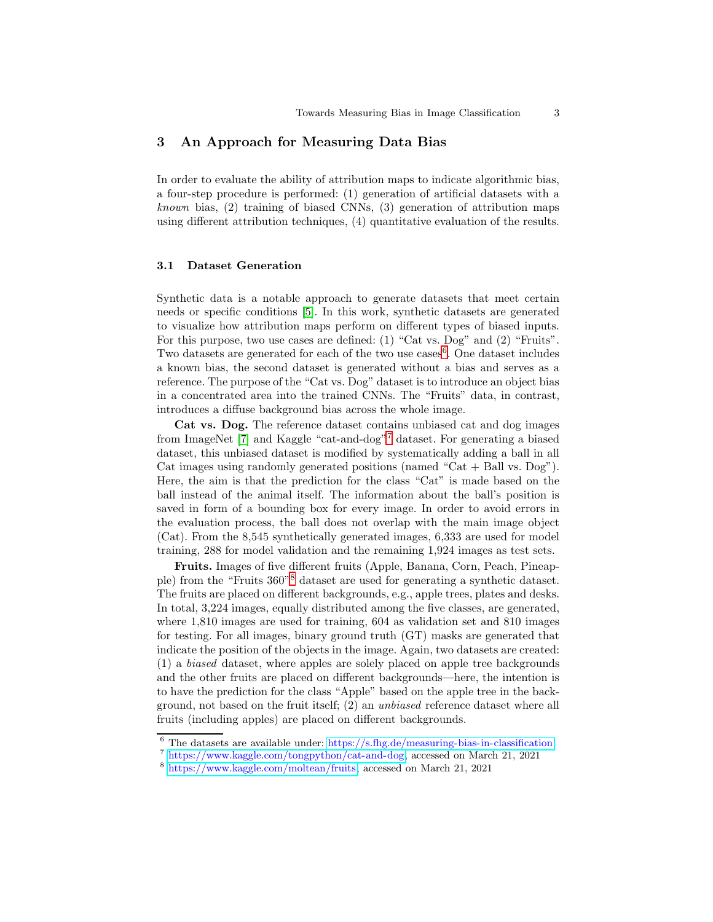# 3 An Approach for Measuring Data Bias

In order to evaluate the ability of attribution maps to indicate algorithmic bias, a four-step procedure is performed: (1) generation of artificial datasets with a *known* bias,  $(2)$  training of biased CNNs,  $(3)$  generation of attribution maps using different attribution techniques, (4) quantitative evaluation of the results.

### 3.1 Dataset Generation

Synthetic data is a notable approach to generate datasets that meet certain needs or specific conditions [\[5\]](#page-11-4). In this work, synthetic datasets are generated to visualize how attribution maps perform on different types of biased inputs. For this purpose, two use cases are defined: (1) "Cat vs. Dog" and (2) "Fruits". Two datasets are generated for each of the two use  $\csc^{6}$  $\csc^{6}$  $\csc^{6}$ . One dataset includes a known bias, the second dataset is generated without a bias and serves as a reference. The purpose of the "Cat vs. Dog" dataset is to introduce an object bias in a concentrated area into the trained CNNs. The "Fruits" data, in contrast, introduces a diffuse background bias across the whole image.

Cat vs. Dog. The reference dataset contains unbiased cat and dog images from ImageNet [\[7\]](#page-11-5) and Kaggle "cat-and-dog"[7](#page-2-1) dataset. For generating a biased dataset, this unbiased dataset is modified by systematically adding a ball in all Cat images using randomly generated positions (named "Cat  $+$  Ball vs. Dog"). Here, the aim is that the prediction for the class "Cat" is made based on the ball instead of the animal itself. The information about the ball's position is saved in form of a bounding box for every image. In order to avoid errors in the evaluation process, the ball does not overlap with the main image object (Cat). From the 8,545 synthetically generated images, 6,333 are used for model training, 288 for model validation and the remaining 1,924 images as test sets.

Fruits. Images of five different fruits (Apple, Banana, Corn, Peach, Pineapple) from the "Fruits 360"[8](#page-2-2) dataset are used for generating a synthetic dataset. The fruits are placed on different backgrounds, e.g., apple trees, plates and desks. In total, 3,224 images, equally distributed among the five classes, are generated, where 1,810 images are used for training, 604 as validation set and 810 images for testing. For all images, binary ground truth (GT) masks are generated that indicate the position of the objects in the image. Again, two datasets are created: (1) a biased dataset, where apples are solely placed on apple tree backgrounds and the other fruits are placed on different backgrounds—here, the intention is to have the prediction for the class "Apple" based on the apple tree in the background, not based on the fruit itself; (2) an unbiased reference dataset where all fruits (including apples) are placed on different backgrounds.

 $6$  The datasets are available under: <https://s.fhg.de/measuring-bias-in-classification>

<span id="page-2-0"></span><sup>7</sup> [https://www.kaggle.com/tongpython/cat-and-dog,](https://www.kaggle.com/tongpython/cat-and-dog) accessed on March 21, 2021

<span id="page-2-2"></span><span id="page-2-1"></span><sup>8</sup> [https://www.kaggle.com/moltean/fruits,](https://www.kaggle.com/moltean/fruits) accessed on March 21, 2021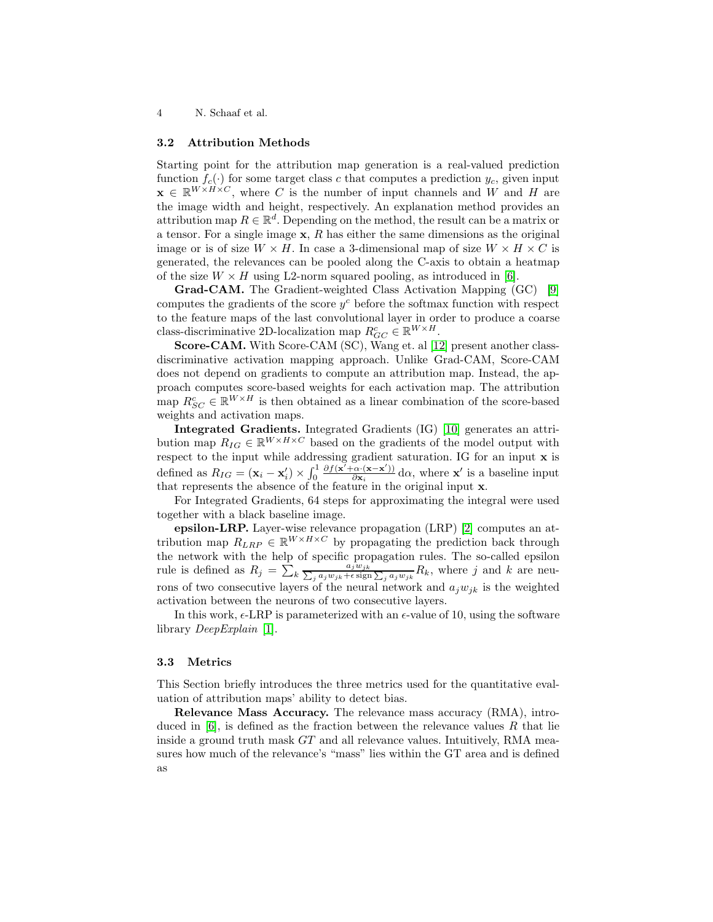#### <span id="page-3-0"></span>3.2 Attribution Methods

Starting point for the attribution map generation is a real-valued prediction function  $f_c(\cdot)$  for some target class c that computes a prediction  $y_c$ , given input  $\mathbf{x} \in \mathbb{R}^{W \times H \times C}$ , where C is the number of input channels and W and H are the image width and height, respectively. An explanation method provides an attribution map  $R \in \mathbb{R}^d$ . Depending on the method, the result can be a matrix or a tensor. For a single image  $x$ , R has either the same dimensions as the original image or is of size  $W \times H$ . In case a 3-dimensional map of size  $W \times H \times C$  is generated, the relevances can be pooled along the C-axis to obtain a heatmap of the size  $W \times H$  using L2-norm squared pooling, as introduced in [\[6\]](#page-11-3).

Grad-CAM. The Gradient-weighted Class Activation Mapping (GC) [\[9\]](#page-11-6) computes the gradients of the score  $y^c$  before the softmax function with respect to the feature maps of the last convolutional layer in order to produce a coarse class-discriminative 2D-localization map  $R_{GC}^c \in \mathbb{R}^{W \times H}$ .

Score-CAM. With Score-CAM (SC), Wang et. al [\[12\]](#page-11-7) present another classdiscriminative activation mapping approach. Unlike Grad-CAM, Score-CAM does not depend on gradients to compute an attribution map. Instead, the approach computes score-based weights for each activation map. The attribution map  $R_{SC}^c \in \mathbb{R}^{W \times H}$  is then obtained as a linear combination of the score-based weights and activation maps.

Integrated Gradients. Integrated Gradients (IG) [\[10\]](#page-11-8) generates an attribution map  $R_{IG} \in \mathbb{R}^{W \times H \times C}$  based on the gradients of the model output with respect to the input while addressing gradient saturation. IG for an input **x** is defined as  $R_{IG} = (\mathbf{x}_i - \mathbf{x}'_i) \times \int_0^1$  $\frac{\partial f(\mathbf{x}' + \alpha \cdot (\mathbf{x} - \mathbf{x}'))}{\partial \mathbf{x}_i} d\alpha$ , where **x'** is a baseline input that represents the absence of the feature in the original input x.

For Integrated Gradients, 64 steps for approximating the integral were used together with a black baseline image.

epsilon-LRP. Layer-wise relevance propagation (LRP) [\[2\]](#page-11-9) computes an attribution map  $R_{LRP} \in \mathbb{R}^{W \times H \times C}$  by propagating the prediction back through the network with the help of specific propagation rules. The so-called epsilon rule is defined as  $R_j = \sum_{k} \frac{a_j w_{jk}}{\sum_j a_j w_{jk} + \epsilon \operatorname{sign} \sum_j a_j w_{jk}} R_k$ , where j and k are neurons of two consecutive layers of the neural network and  $a_jw_{jk}$  is the weighted activation between the neurons of two consecutive layers.

In this work,  $\epsilon$ -LRP is parameterized with an  $\epsilon$ -value of 10, using the software library DeepExplain [\[1\]](#page-11-10).

#### <span id="page-3-1"></span>3.3 Metrics

This Section briefly introduces the three metrics used for the quantitative evaluation of attribution maps' ability to detect bias.

Relevance Mass Accuracy. The relevance mass accuracy (RMA), introduced in  $[6]$ , is defined as the fraction between the relevance values R that lie inside a ground truth mask  $GT$  and all relevance values. Intuitively, RMA measures how much of the relevance's "mass" lies within the GT area and is defined as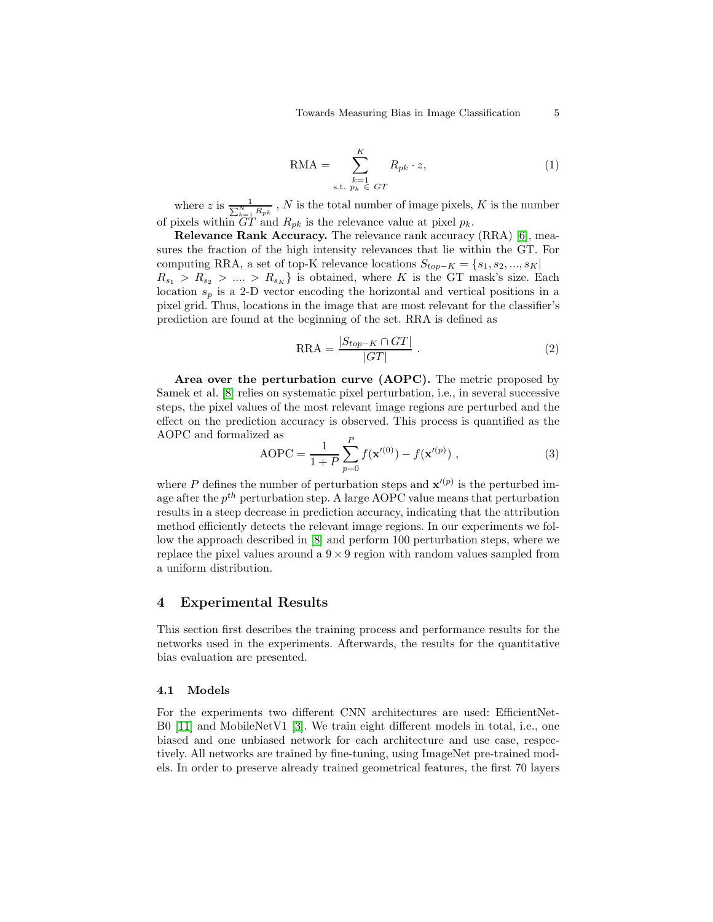$$
RMA = \sum_{\substack{k=1 \text{ s.t. } p_k \in GT}}^{K} R_{pk} \cdot z,
$$
\n(1)

where z is  $\frac{1}{\sum_{k=1}^{N} R_{pk}}$ , N is the total number of image pixels, K is the number of pixels within  $GT$  and  $R_{pk}$  is the relevance value at pixel  $p_k$ .

Relevance Rank Accuracy. The relevance rank accuracy (RRA) [\[6\]](#page-11-3), measures the fraction of the high intensity relevances that lie within the GT. For computing RRA, a set of top-K relevance locations  $S_{top-K} = \{s_1, s_2, ..., s_K\}$  $R_{s_1} > R_{s_2} > ... > R_{s_K}$  is obtained, where K is the GT mask's size. Each location  $s_p$  is a 2-D vector encoding the horizontal and vertical positions in a pixel grid. Thus, locations in the image that are most relevant for the classifier's prediction are found at the beginning of the set. RRA is defined as

$$
RRA = \frac{|S_{top-K} \cap GT|}{|GT|} \ . \tag{2}
$$

Area over the perturbation curve (AOPC). The metric proposed by Samek et al. [\[8\]](#page-11-11) relies on systematic pixel perturbation, i.e., in several successive steps, the pixel values of the most relevant image regions are perturbed and the effect on the prediction accuracy is observed. This process is quantified as the AOPC and formalized as

AOPC = 
$$
\frac{1}{1+P} \sum_{p=0}^{P} f(\mathbf{x}'^{(0)}) - f(\mathbf{x}'^{(p)}) ,
$$
 (3)

where P defines the number of perturbation steps and  $\mathbf{x}'^{(p)}$  is the perturbed image after the  $p^{th}$  perturbation step. A large AOPC value means that perturbation results in a steep decrease in prediction accuracy, indicating that the attribution method efficiently detects the relevant image regions. In our experiments we follow the approach described in [\[8\]](#page-11-11) and perform 100 perturbation steps, where we replace the pixel values around a  $9 \times 9$  region with random values sampled from a uniform distribution.

### 4 Experimental Results

This section first describes the training process and performance results for the networks used in the experiments. Afterwards, the results for the quantitative bias evaluation are presented.

#### 4.1 Models

For the experiments two different CNN architectures are used: EfficientNet-B0 [\[11\]](#page-11-12) and MobileNetV1 [\[3\]](#page-11-13). We train eight different models in total, i.e., one biased and one unbiased network for each architecture and use case, respectively. All networks are trained by fine-tuning, using ImageNet pre-trained models. In order to preserve already trained geometrical features, the first 70 layers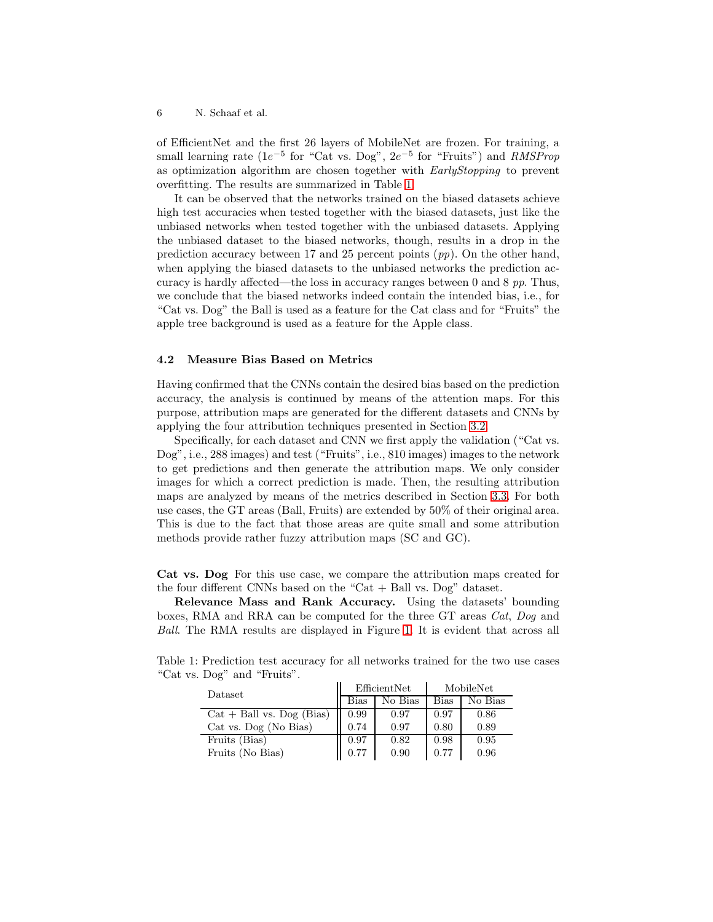of EfficientNet and the first 26 layers of MobileNet are frozen. For training, a small learning rate ( $1e^{-5}$  for "Cat vs. Dog",  $2e^{-5}$  for "Fruits") and  $RMSProp$ as optimization algorithm are chosen together with EarlyStopping to prevent overfitting. The results are summarized in Table [1.](#page-5-0)

It can be observed that the networks trained on the biased datasets achieve high test accuracies when tested together with the biased datasets, just like the unbiased networks when tested together with the unbiased datasets. Applying the unbiased dataset to the biased networks, though, results in a drop in the prediction accuracy between 17 and 25 percent points  $(pp)$ . On the other hand, when applying the biased datasets to the unbiased networks the prediction accuracy is hardly affected—the loss in accuracy ranges between 0 and 8 pp. Thus, we conclude that the biased networks indeed contain the intended bias, i.e., for "Cat vs. Dog" the Ball is used as a feature for the Cat class and for "Fruits" the apple tree background is used as a feature for the Apple class.

### 4.2 Measure Bias Based on Metrics

Having confirmed that the CNNs contain the desired bias based on the prediction accuracy, the analysis is continued by means of the attention maps. For this purpose, attribution maps are generated for the different datasets and CNNs by applying the four attribution techniques presented in Section [3.2.](#page-3-0)

Specifically, for each dataset and CNN we first apply the validation ("Cat vs. Dog", i.e., 288 images) and test ("Fruits", i.e., 810 images) images to the network to get predictions and then generate the attribution maps. We only consider images for which a correct prediction is made. Then, the resulting attribution maps are analyzed by means of the metrics described in Section [3.3.](#page-3-1) For both use cases, the GT areas (Ball, Fruits) are extended by 50% of their original area. This is due to the fact that those areas are quite small and some attribution methods provide rather fuzzy attribution maps (SC and GC).

Cat vs. Dog For this use case, we compare the attribution maps created for the four different CNNs based on the "Cat  $+$  Ball vs. Dog" dataset.

Relevance Mass and Rank Accuracy. Using the datasets' bounding boxes, RMA and RRA can be computed for the three GT areas Cat, Dog and Ball. The RMA results are displayed in Figure [1.](#page-6-0) It is evident that across all

| Dataset                     |             | EfficientNet | MobileNet   |         |  |  |
|-----------------------------|-------------|--------------|-------------|---------|--|--|
|                             | <b>Bias</b> | No Bias      | <b>Bias</b> | No Bias |  |  |
| $Cat + Ball vs. Dog (Bias)$ | 0.99        | 0.97         | 0.97        | 0.86    |  |  |
| Cat vs. Dog (No Bias)       | 0.74        | 0.97         | 0.80        | 0.89    |  |  |
| Fruits (Bias)               | 0.97        | 0.82         | 0.98        | 0.95    |  |  |
| Fruits (No Bias)            | 0.77        | 0.90         | 0.77        | 0.96    |  |  |

<span id="page-5-0"></span>Table 1: Prediction test accuracy for all networks trained for the two use cases "Cat vs. Dog" and "Fruits".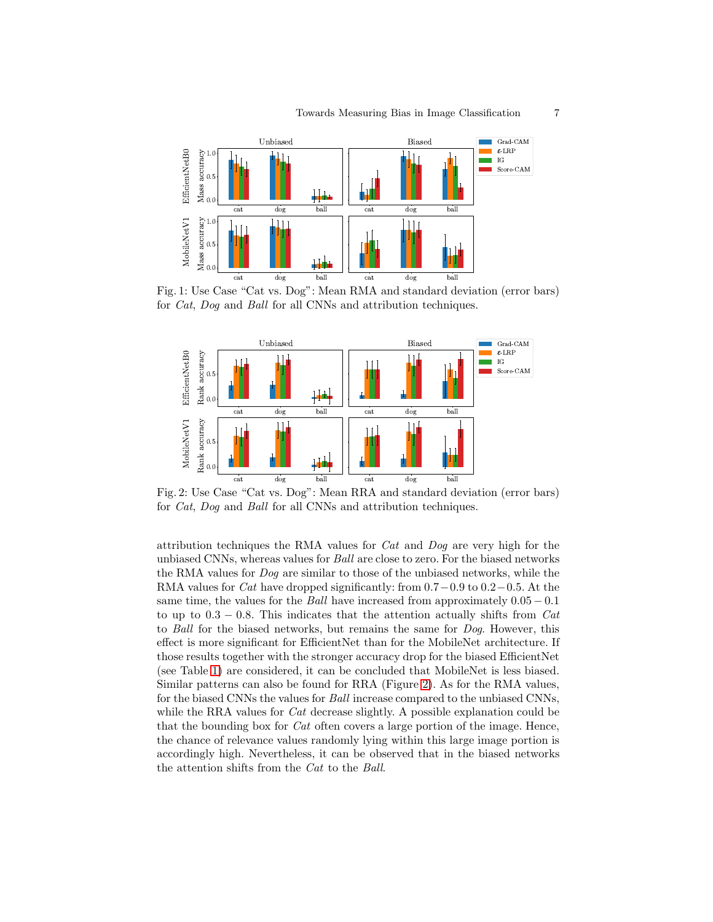<span id="page-6-0"></span>

Fig. 1: Use Case "Cat vs. Dog": Mean RMA and standard deviation (error bars) for Cat, Dog and Ball for all CNNs and attribution techniques.

<span id="page-6-1"></span>

Fig. 2: Use Case "Cat vs. Dog": Mean RRA and standard deviation (error bars) for Cat, Dog and Ball for all CNNs and attribution techniques.

attribution techniques the RMA values for  $Cat$  and  $Dog$  are very high for the unbiased CNNs, whereas values for Ball are close to zero. For the biased networks the RMA values for Dog are similar to those of the unbiased networks, while the RMA values for *Cat* have dropped significantly: from  $0.7-0.9$  to  $0.2-0.5$ . At the same time, the values for the Ball have increased from approximately  $0.05 - 0.1$ to up to  $0.3 - 0.8$ . This indicates that the attention actually shifts from Cat to Ball for the biased networks, but remains the same for Dog. However, this effect is more significant for EfficientNet than for the MobileNet architecture. If those results together with the stronger accuracy drop for the biased EfficientNet (see Table [1\)](#page-5-0) are considered, it can be concluded that MobileNet is less biased. Similar patterns can also be found for RRA (Figure [2\)](#page-6-1). As for the RMA values, for the biased CNNs the values for Ball increase compared to the unbiased CNNs, while the RRA values for *Cat* decrease slightly. A possible explanation could be that the bounding box for Cat often covers a large portion of the image. Hence, the chance of relevance values randomly lying within this large image portion is accordingly high. Nevertheless, it can be observed that in the biased networks the attention shifts from the Cat to the Ball.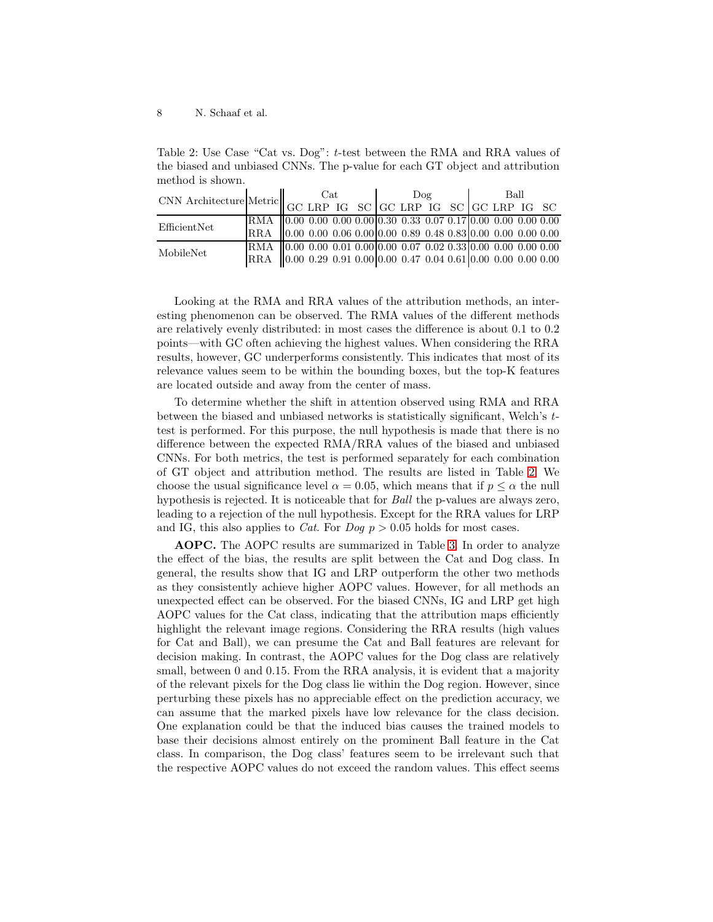<span id="page-7-0"></span>Table 2: Use Case "Cat vs. Dog": t-test between the RMA and RRA values of the biased and unbiased CNNs. The p-value for each GT object and attribution method is shown.

| $\text{CNN Architecture} \bigg \text{Metric} \bigg \text{GCLRP} \text{IG} \text{SC} \bigg  \text{GCLRP} \text{IG} \text{SC} \bigg  \text{GCLRP} \text{IG} \text{SC} \bigg  \text{GCLRP} \text{IG} \text{SC}$ |                                                                                   | Cat |  |  |  | Doq |  |  |  | Ball |  |  |  |
|--------------------------------------------------------------------------------------------------------------------------------------------------------------------------------------------------------------|-----------------------------------------------------------------------------------|-----|--|--|--|-----|--|--|--|------|--|--|--|
|                                                                                                                                                                                                              |                                                                                   |     |  |  |  |     |  |  |  |      |  |  |  |
| EfficientNet                                                                                                                                                                                                 | RMA $(0.00\ 0.00\ 0.00\ 0.00\ 0.30\ 0.33\ 0.07\ 0.17\ 0.00\ 0.00\ 0.00\ 0.00$     |     |  |  |  |     |  |  |  |      |  |  |  |
|                                                                                                                                                                                                              | RRA 0.00 0.00 0.06 0.00 0.00 0.89 0.48 0.83 0.00 0.00 0.00 0.00                   |     |  |  |  |     |  |  |  |      |  |  |  |
| MobileNet                                                                                                                                                                                                    | RMA $(0.00\ 0.00\ 0.01\ 0.00(0.00\ 0.07\ 0.02\ 0.33(0.00\ 0.00\ 0.00\ 0.00$       |     |  |  |  |     |  |  |  |      |  |  |  |
|                                                                                                                                                                                                              | RRA $\big 0.00\ 0.29\ 0.91\ 0.00\ 0.00\ 0.47\ 0.04\ 0.61\ 0.00\ 0.00\ 0.00\ 0.00$ |     |  |  |  |     |  |  |  |      |  |  |  |

Looking at the RMA and RRA values of the attribution methods, an interesting phenomenon can be observed. The RMA values of the different methods are relatively evenly distributed: in most cases the difference is about 0.1 to 0.2 points—with GC often achieving the highest values. When considering the RRA results, however, GC underperforms consistently. This indicates that most of its relevance values seem to be within the bounding boxes, but the top-K features are located outside and away from the center of mass.

To determine whether the shift in attention observed using RMA and RRA between the biased and unbiased networks is statistically significant, Welch's ttest is performed. For this purpose, the null hypothesis is made that there is no difference between the expected RMA/RRA values of the biased and unbiased CNNs. For both metrics, the test is performed separately for each combination of GT object and attribution method. The results are listed in Table [2.](#page-7-0) We choose the usual significance level  $\alpha = 0.05$ , which means that if  $p \leq \alpha$  the null hypothesis is rejected. It is noticeable that for Ball the p-values are always zero, leading to a rejection of the null hypothesis. Except for the RRA values for LRP and IG, this also applies to *Cat*. For *Dog*  $p > 0.05$  *holds for most cases.* 

AOPC. The AOPC results are summarized in Table [3.](#page-8-0) In order to analyze the effect of the bias, the results are split between the Cat and Dog class. In general, the results show that IG and LRP outperform the other two methods as they consistently achieve higher AOPC values. However, for all methods an unexpected effect can be observed. For the biased CNNs, IG and LRP get high AOPC values for the Cat class, indicating that the attribution maps efficiently highlight the relevant image regions. Considering the RRA results (high values for Cat and Ball), we can presume the Cat and Ball features are relevant for decision making. In contrast, the AOPC values for the Dog class are relatively small, between 0 and 0.15. From the RRA analysis, it is evident that a majority of the relevant pixels for the Dog class lie within the Dog region. However, since perturbing these pixels has no appreciable effect on the prediction accuracy, we can assume that the marked pixels have low relevance for the class decision. One explanation could be that the induced bias causes the trained models to base their decisions almost entirely on the prominent Ball feature in the Cat class. In comparison, the Dog class' features seem to be irrelevant such that the respective AOPC values do not exceed the random values. This effect seems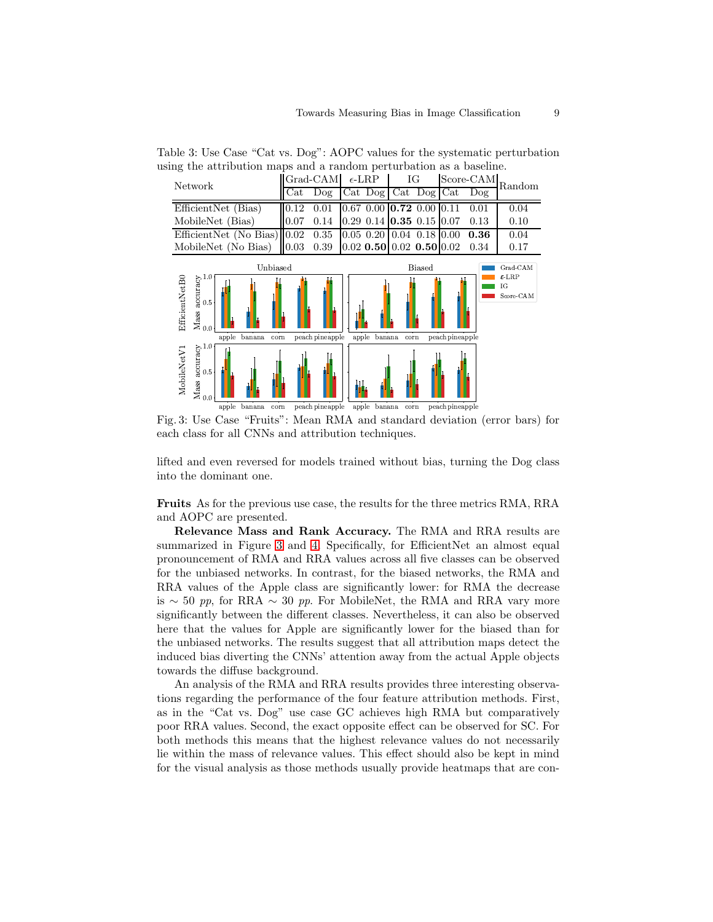<span id="page-8-1"></span>

<span id="page-8-0"></span>Table 3: Use Case "Cat vs. Dog": AOPC values for the systematic perturbation using the attribution maps and a random perturbation as a baseline.

Fig. 3: Use Case "Fruits": Mean RMA and standard deviation (error bars) for each class for all CNNs and attribution techniques.

lifted and even reversed for models trained without bias, turning the Dog class into the dominant one.

Fruits As for the previous use case, the results for the three metrics RMA, RRA and AOPC are presented.

Relevance Mass and Rank Accuracy. The RMA and RRA results are summarized in Figure [3](#page-8-1) and [4.](#page-9-0) Specifically, for EfficientNet an almost equal pronouncement of RMA and RRA values across all five classes can be observed for the unbiased networks. In contrast, for the biased networks, the RMA and RRA values of the Apple class are significantly lower: for RMA the decrease is ∼ 50 pp, for RRA ∼ 30 pp. For MobileNet, the RMA and RRA vary more significantly between the different classes. Nevertheless, it can also be observed here that the values for Apple are significantly lower for the biased than for the unbiased networks. The results suggest that all attribution maps detect the induced bias diverting the CNNs' attention away from the actual Apple objects towards the diffuse background.

An analysis of the RMA and RRA results provides three interesting observations regarding the performance of the four feature attribution methods. First, as in the "Cat vs. Dog" use case GC achieves high RMA but comparatively poor RRA values. Second, the exact opposite effect can be observed for SC. For both methods this means that the highest relevance values do not necessarily lie within the mass of relevance values. This effect should also be kept in mind for the visual analysis as those methods usually provide heatmaps that are con-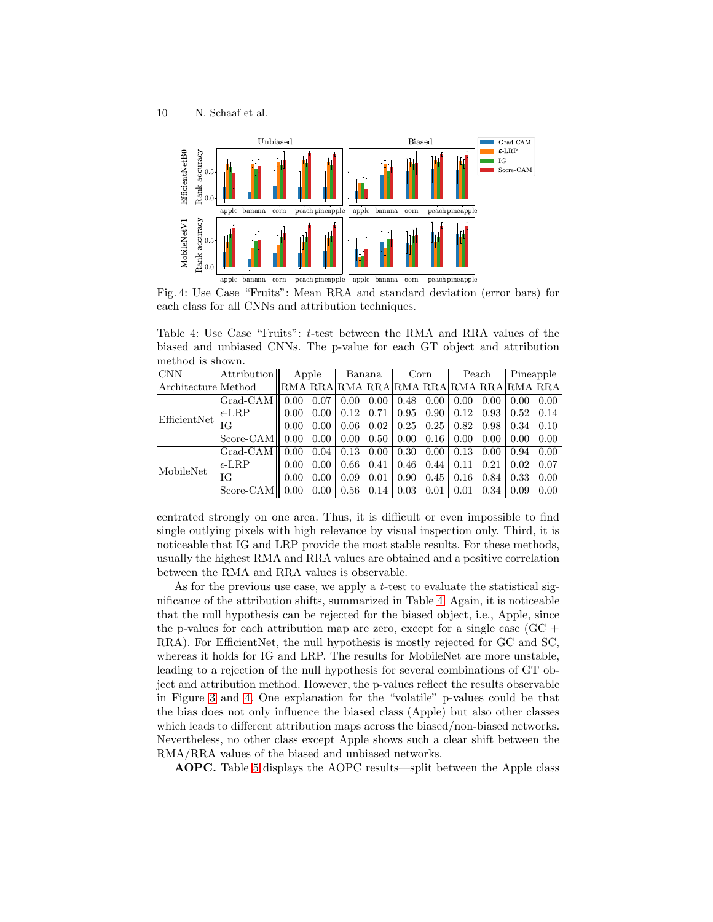<span id="page-9-0"></span>

<span id="page-9-1"></span>Fig. 4: Use Case "Fruits": Mean RRA and standard deviation (error bars) for each class for all CNNs and attribution techniques.

Table 4: Use Case "Fruits": t-test between the RMA and RRA values of the biased and unbiased CNNs. The p-value for each GT object and attribution method is shown.

| <b>CNN</b>          | Attribution             |                                         | Apple<br>Banana   |                                      |      | Corn                                                                         |                     | Peach                                            |                 | Pineapple |      |
|---------------------|-------------------------|-----------------------------------------|-------------------|--------------------------------------|------|------------------------------------------------------------------------------|---------------------|--------------------------------------------------|-----------------|-----------|------|
| Architecture Method |                         | RMA RRA RMA RRA RMA RRA RMA RRA RMA RRA |                   |                                      |      |                                                                              |                     |                                                  |                 |           |      |
| EfficientNet        | $Grad-CAM$              | 0.00                                    |                   | $0.07 \,   \, 0.00$                  | 0.00 | $0.48$ 0.00 0.00                                                             |                     |                                                  | $0.00 \pm 0.00$ |           | 0.00 |
|                     | $\epsilon$ -LRP         | 0.00                                    |                   | $0.00 \mid 0.12$                     | 0.71 |                                                                              |                     | $0.95$ $0.90$ $0.12$ $0.93$ $0.52$               |                 |           | 0.14 |
|                     | ΙG                      | 0.00                                    |                   |                                      |      | $0.00 \mid 0.06 \mid 0.02 \mid 0.25 \mid 0.25 \mid 0.82 \mid 0.98 \mid 0.34$ |                     |                                                  |                 |           | 0.10 |
|                     | Score-CAMII 0.00        |                                         |                   |                                      |      | $0.00 \mid 0.00 \mid 0.50 \mid 0.00 \mid 0.16 \mid 0.00$                     |                     |                                                  | $0.00 \pm 0.00$ |           | 0.00 |
| MobileNet           | Grad-CAM <sup>I</sup>   | 0.00                                    |                   |                                      |      | $0.04 \mid 0.13 \mid 0.00 \mid 0.30 \mid 0.00 \mid 0.13 \mid 0.00 \mid 0.94$ |                     |                                                  |                 |           | 0.00 |
|                     | $\epsilon$ -LRP         | 0.00                                    |                   | $0.00 \pm 0.66$                      | 0.41 |                                                                              |                     | $0.46$ $0.44$   $0.11$ $0.21$   $0.02$           |                 |           | 0.07 |
|                     | ΙG                      | 0.00                                    | 0.00 <sub>1</sub> | 0.09                                 | 0.01 |                                                                              |                     | $0.90 \quad 0.45 \mid 0.16 \quad 0.84 \mid 0.33$ |                 |           | 0.00 |
|                     | Score-CAM <sub>II</sub> | 0.00                                    |                   | $0.00 \mid 0.56 \mid 0.14 \mid 0.03$ |      |                                                                              | $0.01 \,   \, 0.01$ |                                                  | $0.34 \pm 0.09$ |           | 0.00 |

centrated strongly on one area. Thus, it is difficult or even impossible to find single outlying pixels with high relevance by visual inspection only. Third, it is noticeable that IG and LRP provide the most stable results. For these methods, usually the highest RMA and RRA values are obtained and a positive correlation between the RMA and RRA values is observable.

As for the previous use case, we apply a *t*-test to evaluate the statistical significance of the attribution shifts, summarized in Table [4.](#page-9-1) Again, it is noticeable that the null hypothesis can be rejected for the biased object, i.e., Apple, since the p-values for each attribution map are zero, except for a single case  $(GC +$ RRA). For EfficientNet, the null hypothesis is mostly rejected for GC and SC, whereas it holds for IG and LRP. The results for MobileNet are more unstable, leading to a rejection of the null hypothesis for several combinations of GT object and attribution method. However, the p-values reflect the results observable in Figure [3](#page-8-1) and [4.](#page-9-0) One explanation for the "volatile" p-values could be that the bias does not only influence the biased class (Apple) but also other classes which leads to different attribution maps across the biased/non-biased networks. Nevertheless, no other class except Apple shows such a clear shift between the RMA/RRA values of the biased and unbiased networks.

AOPC. Table [5](#page-10-0) displays the AOPC results—split between the Apple class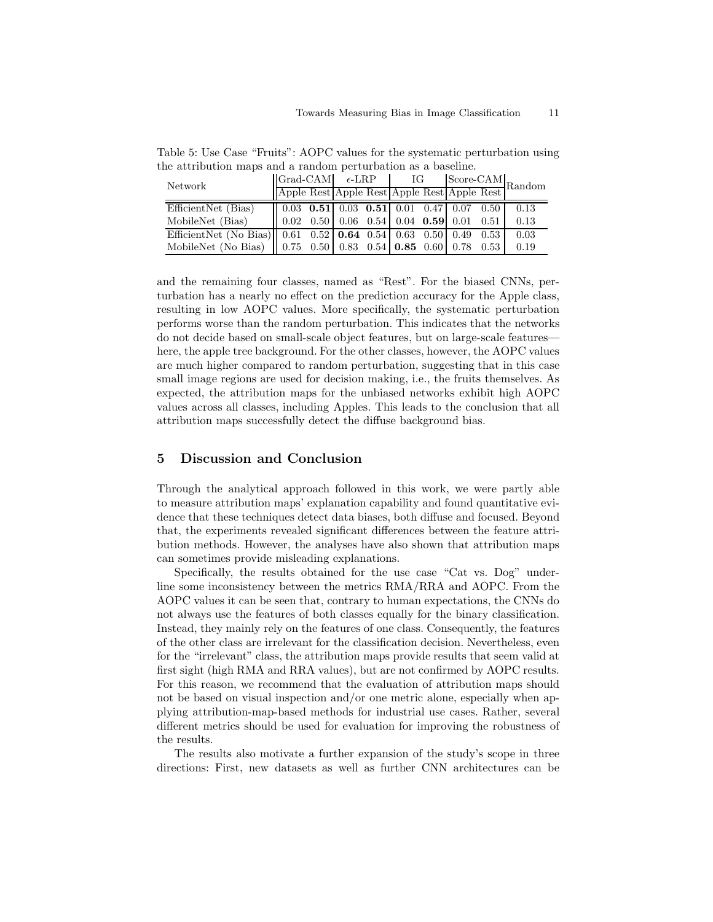| Network                                                             | $ Grad-CAM $ $\epsilon$ -LRP $ G $<br>$\begin{array}{ l c c c c }\hline \text{Grad-CAM} & \epsilon\text{-LRP} & \text{IG} & \text{Score-CAM} \\\hline \text{Apple Rest} & \text{Apple Rest} & \text{Apple Rest} & \text{Apple Rest} \\\hline \end{array} \text{Random}$ |  |  |  |  |  |      |  |
|---------------------------------------------------------------------|-------------------------------------------------------------------------------------------------------------------------------------------------------------------------------------------------------------------------------------------------------------------------|--|--|--|--|--|------|--|
|                                                                     |                                                                                                                                                                                                                                                                         |  |  |  |  |  |      |  |
| EfficientNet (Bias)                                                 | $\vert$ 0.03 0.51 0.03 0.51 0.01 0.47 0.07 0.50                                                                                                                                                                                                                         |  |  |  |  |  | 0.13 |  |
| MobileNet (Bias)                                                    | $\parallel$ 0.02 0.50 0.06 0.54 0.04 0.59 0.01 0.51                                                                                                                                                                                                                     |  |  |  |  |  | 0.13 |  |
| EfficientNet (No Bias)  0.61 0.52 0.64 0.54 0.63 0.50 0.49 0.53     |                                                                                                                                                                                                                                                                         |  |  |  |  |  | 0.03 |  |
| MobileNet (No Bias)   0.75 0.50   0.83 0.54   0.85 0.60   0.78 0.53 |                                                                                                                                                                                                                                                                         |  |  |  |  |  | 0.19 |  |

<span id="page-10-0"></span>Table 5: Use Case "Fruits": AOPC values for the systematic perturbation using the attribution maps and a random perturbation as a baseline.

and the remaining four classes, named as "Rest". For the biased CNNs, perturbation has a nearly no effect on the prediction accuracy for the Apple class, resulting in low AOPC values. More specifically, the systematic perturbation performs worse than the random perturbation. This indicates that the networks do not decide based on small-scale object features, but on large-scale features here, the apple tree background. For the other classes, however, the AOPC values are much higher compared to random perturbation, suggesting that in this case small image regions are used for decision making, i.e., the fruits themselves. As expected, the attribution maps for the unbiased networks exhibit high AOPC values across all classes, including Apples. This leads to the conclusion that all attribution maps successfully detect the diffuse background bias.

### 5 Discussion and Conclusion

Through the analytical approach followed in this work, we were partly able to measure attribution maps' explanation capability and found quantitative evidence that these techniques detect data biases, both diffuse and focused. Beyond that, the experiments revealed significant differences between the feature attribution methods. However, the analyses have also shown that attribution maps can sometimes provide misleading explanations.

Specifically, the results obtained for the use case "Cat vs. Dog" underline some inconsistency between the metrics RMA/RRA and AOPC. From the AOPC values it can be seen that, contrary to human expectations, the CNNs do not always use the features of both classes equally for the binary classification. Instead, they mainly rely on the features of one class. Consequently, the features of the other class are irrelevant for the classification decision. Nevertheless, even for the "irrelevant" class, the attribution maps provide results that seem valid at first sight (high RMA and RRA values), but are not confirmed by AOPC results. For this reason, we recommend that the evaluation of attribution maps should not be based on visual inspection and/or one metric alone, especially when applying attribution-map-based methods for industrial use cases. Rather, several different metrics should be used for evaluation for improving the robustness of the results.

The results also motivate a further expansion of the study's scope in three directions: First, new datasets as well as further CNN architectures can be